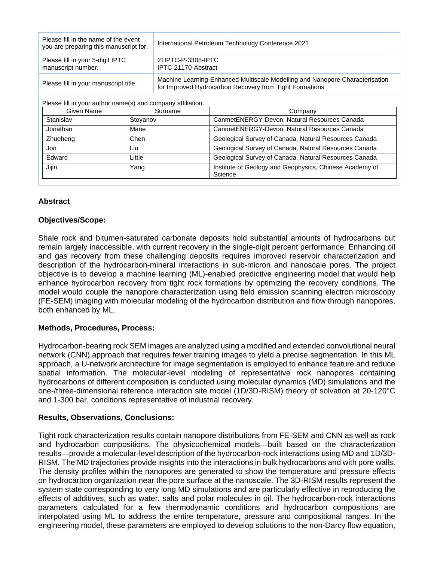| Please fill in the name of the event<br>you are preparing this manuscript for. | International Petroleum Technology Conference 2021                                                                                      |  |
|--------------------------------------------------------------------------------|-----------------------------------------------------------------------------------------------------------------------------------------|--|
| Please fill in your 5-digit IPTC<br>manuscript number.                         | 21IPTC-P-3308-IPTC<br>IPTC-21170-Abstract                                                                                               |  |
| Please fill in your manuscript title.                                          | Machine Learning-Enhanced Multiscale Modelling and Nanopore Characterisation<br>for Improved Hydrocarbon Recovery from Tight Formations |  |

Please fill in your author name(s) and company affiliation.

| Given Name | Surname  | Company                                                            |
|------------|----------|--------------------------------------------------------------------|
| Stanislav  | Stovanov | CanmetENERGY-Devon, Natural Resources Canada                       |
| Jonathan   | Mane     | CanmetENERGY-Devon, Natural Resources Canada                       |
| Zhuoheng   | Chen     | Geological Survey of Canada, Natural Resources Canada              |
| Jon        | Liu      | Geological Survey of Canada, Natural Resources Canada              |
| Edward     | Little   | Geological Survey of Canada, Natural Resources Canada              |
| Jijin      | Yang     | Institute of Geology and Geophysics, Chinese Academy of<br>Science |

# **Abstract**

### **Objectives/Scope:**

Shale rock and bitumen-saturated carbonate deposits hold substantial amounts of hydrocarbons but remain largely inaccessible, with current recovery in the single-digit percent performance. Enhancing oil and gas recovery from these challenging deposits requires improved reservoir characterization and description of the hydrocarbon-mineral interactions in sub-micron and nanoscale pores. The project objective is to develop a machine learning (ML)-enabled predictive engineering model that would help enhance hydrocarbon recovery from tight rock formations by optimizing the recovery conditions. The model would couple the nanopore characterization using field emission scanning electron microscopy (FE-SEM) imaging with molecular modeling of the hydrocarbon distribution and flow through nanopores, both enhanced by ML.

# **Methods, Procedures, Process:**

Hydrocarbon-bearing rock SEM images are analyzed using a modified and extended convolutional neural network (CNN) approach that requires fewer training images to yield a precise segmentation. In this ML approach, a U-network architecture for image segmentation is employed to enhance feature and reduce spatial information. The molecular-level modeling of representative rock nanopores containing hydrocarbons of different composition is conducted using molecular dynamics (MD) simulations and the one-/three-dimensional reference interaction site model (1D/3D-RISM) theory of solvation at 20-120°C and 1-300 bar, conditions representative of industrial recovery.

# **Results, Observations, Conclusions:**

Tight rock characterization results contain nanopore distributions from FE-SEM and CNN as well as rock and hydrocarbon compositions. The physicochemical models—built based on the characterization results—provide a molecular-level description of the hydrocarbon-rock interactions using MD and 1D/3D-RISM. The MD trajectories provide insights into the interactions in bulk hydrocarbons and with pore walls. The density profiles within the nanopores are generated to show the temperature and pressure effects on hydrocarbon organization near the pore surface at the nanoscale. The 3D-RISM results represent the system state corresponding to very long MD simulations and are particularly effective in reproducing the effects of additives, such as water, salts and polar molecules in oil. The hydrocarbon-rock interactions parameters calculated for a few thermodynamic conditions and hydrocarbon compositions are interpolated using ML to address the entire temperature, pressure and compositional ranges. In the engineering model, these parameters are employed to develop solutions to the non-Darcy flow equation,